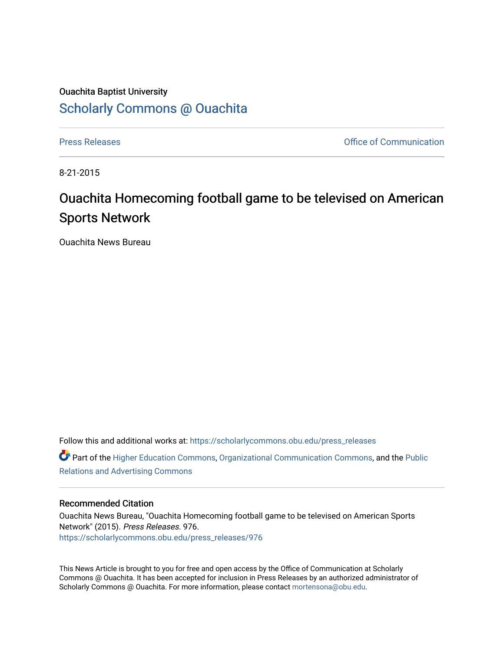## Ouachita Baptist University [Scholarly Commons @ Ouachita](https://scholarlycommons.obu.edu/)

[Press Releases](https://scholarlycommons.obu.edu/press_releases) **Press Releases Communication** 

8-21-2015

## Ouachita Homecoming football game to be televised on American Sports Network

Ouachita News Bureau

Follow this and additional works at: [https://scholarlycommons.obu.edu/press\\_releases](https://scholarlycommons.obu.edu/press_releases?utm_source=scholarlycommons.obu.edu%2Fpress_releases%2F976&utm_medium=PDF&utm_campaign=PDFCoverPages)

Part of the [Higher Education Commons,](http://network.bepress.com/hgg/discipline/1245?utm_source=scholarlycommons.obu.edu%2Fpress_releases%2F976&utm_medium=PDF&utm_campaign=PDFCoverPages) [Organizational Communication Commons,](http://network.bepress.com/hgg/discipline/335?utm_source=scholarlycommons.obu.edu%2Fpress_releases%2F976&utm_medium=PDF&utm_campaign=PDFCoverPages) and the [Public](http://network.bepress.com/hgg/discipline/336?utm_source=scholarlycommons.obu.edu%2Fpress_releases%2F976&utm_medium=PDF&utm_campaign=PDFCoverPages) [Relations and Advertising Commons](http://network.bepress.com/hgg/discipline/336?utm_source=scholarlycommons.obu.edu%2Fpress_releases%2F976&utm_medium=PDF&utm_campaign=PDFCoverPages) 

## Recommended Citation

Ouachita News Bureau, "Ouachita Homecoming football game to be televised on American Sports Network" (2015). Press Releases. 976. [https://scholarlycommons.obu.edu/press\\_releases/976](https://scholarlycommons.obu.edu/press_releases/976?utm_source=scholarlycommons.obu.edu%2Fpress_releases%2F976&utm_medium=PDF&utm_campaign=PDFCoverPages)

This News Article is brought to you for free and open access by the Office of Communication at Scholarly Commons @ Ouachita. It has been accepted for inclusion in Press Releases by an authorized administrator of Scholarly Commons @ Ouachita. For more information, please contact [mortensona@obu.edu](mailto:mortensona@obu.edu).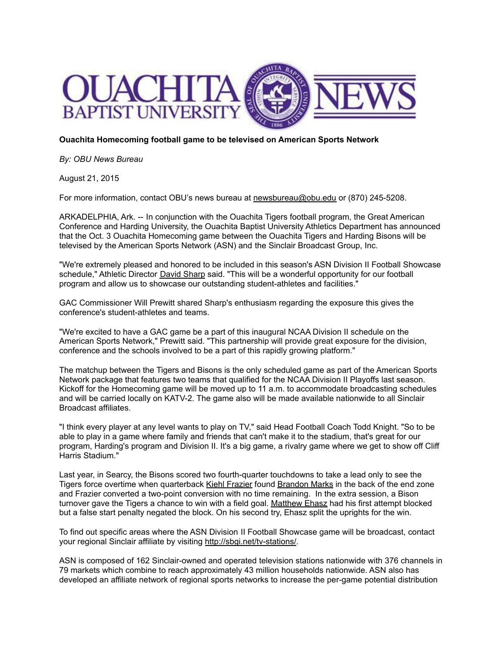

## **Ouachita Homecoming football game to be televised on American Sports Network**

*By: OBU News Bureau*

August 21, 2015

For more information, contact OBU's news bureau at [newsbureau@obu.edu](mailto:newsbureau@obu.edu) or (870) 245-5208.

ARKADELPHIA, Ark. -- In conjunction with the Ouachita Tigers football program, the Great American Conference and Harding University, the Ouachita Baptist University Athletics Department has announced that the Oct. 3 Ouachita Homecoming game between the Ouachita Tigers and Harding Bisons will be televised by the American Sports Network (ASN) and the Sinclair Broadcast Group, Inc.

"We're extremely pleased and honored to be included in this season's ASN Division II Football Showcase schedule," Athletic Director David [Sharp](http://www.obutigers.com/staff.aspx?staff=1) said. "This will be a wonderful opportunity for our football program and allow us to showcase our outstanding student-athletes and facilities."

GAC Commissioner Will Prewitt shared Sharp's enthusiasm regarding the exposure this gives the conference's student-athletes and teams.

"We're excited to have a GAC game be a part of this inaugural NCAA Division II schedule on the American Sports Network," Prewitt said. "This partnership will provide great exposure for the division, conference and the schools involved to be a part of this rapidly growing platform."

The matchup between the Tigers and Bisons is the only scheduled game as part of the American Sports Network package that features two teams that qualified for the NCAA Division II Playoffs last season. Kickoff for the Homecoming game will be moved up to 11 a.m. to accommodate broadcasting schedules and will be carried locally on KATV-2. The game also will be made available nationwide to all Sinclair Broadcast affiliates.

"I think every player at any level wants to play on TV," said Head Football Coach Todd Knight. "So to be able to play in a game where family and friends that can't make it to the stadium, that's great for our program, Harding's program and Division II. It's a big game, a rivalry game where we get to show off Cliff Harris Stadium."

Last year, in Searcy, the Bisons scored two fourth-quarter touchdowns to take a lead only to see the Tigers force overtime when quarterback Kiehl [Frazier](http://www.obutigers.com/roster.aspx?rp_id=1435) found [Brandon](http://www.obutigers.com/roster.aspx?rp_id=1843) Marks in the back of the end zone and Frazier converted a two-point conversion with no time remaining. In the extra session, a Bison turnover gave the Tigers a chance to win with a field goal. [Matthew](http://www.obutigers.com/roster.aspx?rp_id=1389) Ehasz had his first attempt blocked but a false start penalty negated the block. On his second try, Ehasz split the uprights for the win.

To find out specific areas where the ASN Division II Football Showcase game will be broadcast, contact your regional Sinclair affiliate by visiting <http://sbgi.net/tv-stations/>.

ASN is composed of 162 Sinclair-owned and operated television stations nationwide with 376 channels in 79 markets which combine to reach approximately 43 million households nationwide. ASN also has developed an affiliate network of regional sports networks to increase the per-game potential distribution